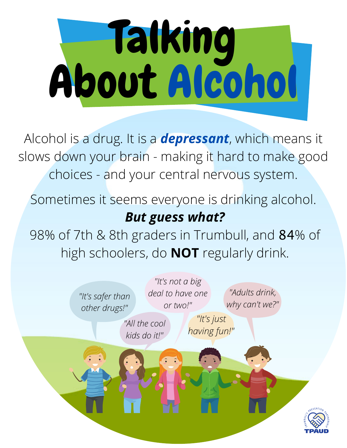

Alcohol is a drug. It is a *depressant*, which means it slows down your brain - making it hard to make good choices - and your central nervous system.

Sometimes it seems everyone is drinking alcohol. *But guess what?*

98% of 7th & 8th graders in Trumbull, and 84% of high schoolers, do **NOT** regularly drink.

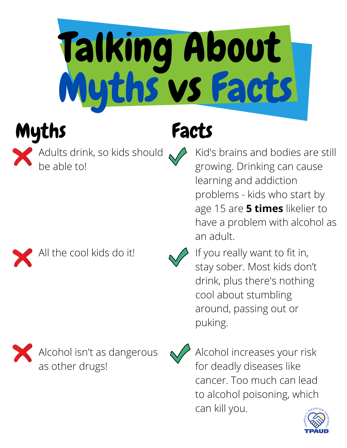

# Myths Facts



Adults drink, so kids should be able to!



All the cool kids do it!





Alcohol increases your risk for deadly diseases like cancer. Too much can lead to alcohol poisoning, which can kill you.



Kid's brains and bodies are still growing. Drinking can cause learning and addiction problems - kids who start by age 15 are **5 times** likelier to have a problem with alcohol as an adult.



If you really want to fit in, stay sober. Most kids don't drink, plus there's nothing cool about stumbling around, passing out or puking.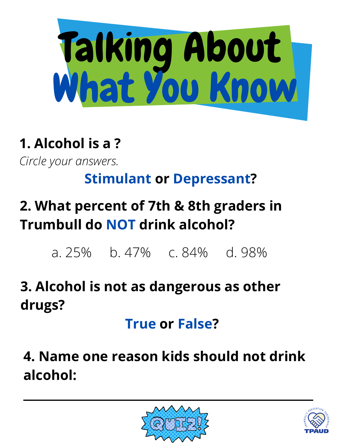

#### **1. Alcohol is a ?**

*Circle your answers.*

#### **Stimulant or Depressant?**

### **2. What percent of 7th & 8th graders in Trumbull do NOT drink alcohol?**

a. 25% b. 47% c. 84% d. 98%

#### **3. Alcohol is not as dangerous as other drugs?**

**True or False?**

**4. Name one reason kids should not drink alcohol:**